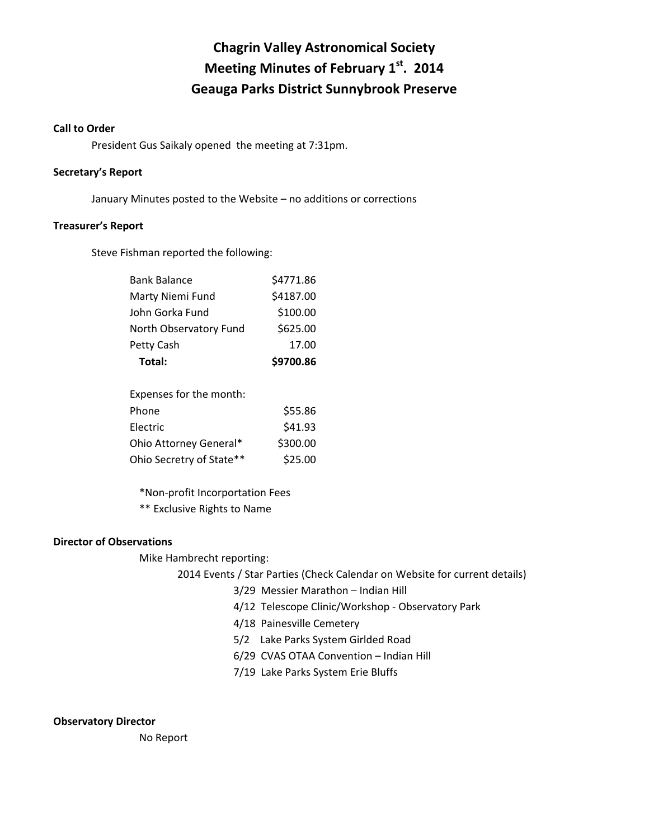# **Chagrin Valley Astronomical Society Meeting Minutes of February 1st. 2014 Geauga Parks District Sunnybrook Preserve**

## **Call to Order**

President Gus Saikaly opened the meeting at 7:31pm.

## **Secretary's Report**

January Minutes posted to the Website – no additions or corrections

#### **Treasurer's Report**

Steve Fishman reported the following:

| Total:                 | \$9700.86 |
|------------------------|-----------|
| Petty Cash             | 17.00     |
| North Observatory Fund | \$625.00  |
| John Gorka Fund        | \$100.00  |
| Marty Niemi Fund       | \$4187.00 |
| <b>Bank Balance</b>    | \$4771.86 |
|                        |           |

| Expenses for the month:  |          |
|--------------------------|----------|
| Phone                    | \$55.86  |
| Electric                 | \$41.93  |
| Ohio Attorney General*   | \$300.00 |
| Ohio Secretry of State** | \$25.00  |

\*Non‐profit Incorportation Fees \*\* Exclusive Rights to Name

#### **Director of Observations**

Mike Hambrecht reporting:

2014 Events / Star Parties (Check Calendar on Website for current details)

3/29 Messier Marathon – Indian Hill

- 4/12 Telescope Clinic/Workshop Observatory Park
- 4/18 Painesville Cemetery
- 5/2 Lake Parks System Girlded Road
- 6/29 CVAS OTAA Convention Indian Hill
- 7/19 Lake Parks System Erie Bluffs

**Observatory Director**

No Report